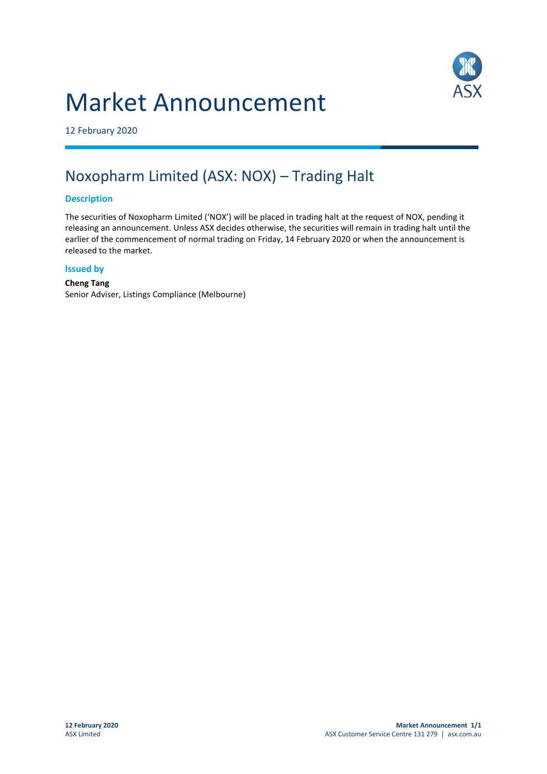# Market Announcement



12 February 2020

# Noxopharm Limited (ASX: NOX) – Trading Halt

# **Description**

The securities of Noxopharm Limited ('NOX') will be placed in trading halt at the request of NOX, pending it releasing an announcement. Unless ASX decides otherwise, the securities will remain in trading halt until the earlier of the commencement of normal trading on Friday, 14 February 2020 or when the announcement is released to the market.

#### **Issued by**

# **Cheng Tang**  Senior Adviser, Listings Compliance (Melbourne)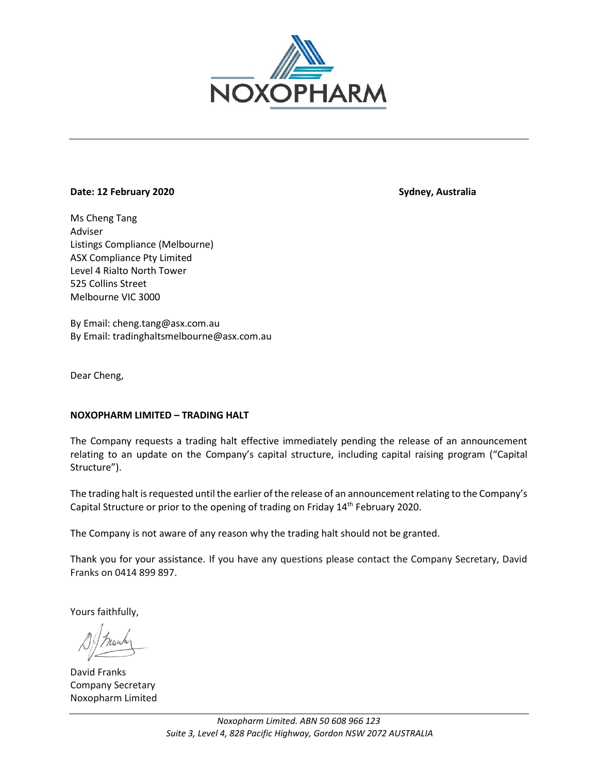

# **Date: 12 February 2020** Sydney, Australia

Ms Cheng Tang Adviser Listings Compliance (Melbourne) ASX Compliance Pty Limited Level 4 Rialto North Tower 525 Collins Street Melbourne VIC 3000

By Email: cheng.tang@asx.com.au By Email: tradinghaltsmelbourne@asx.com.au

Dear Cheng,

# **NOXOPHARM LIMITED – TRADING HALT**

The Company requests a trading halt effective immediately pending the release of an announcement relating to an update on the Company's capital structure, including capital raising program ("Capital Structure").

The trading halt is requested until the earlier of the release of an announcement relating to the Company's Capital Structure or prior to the opening of trading on Friday 14<sup>th</sup> February 2020.

The Company is not aware of any reason why the trading halt should not be granted.

Thank you for your assistance. If you have any questions please contact the Company Secretary, David Franks on 0414 899 897.

Yours faithfully,

David Franks Company Secretary Noxopharm Limited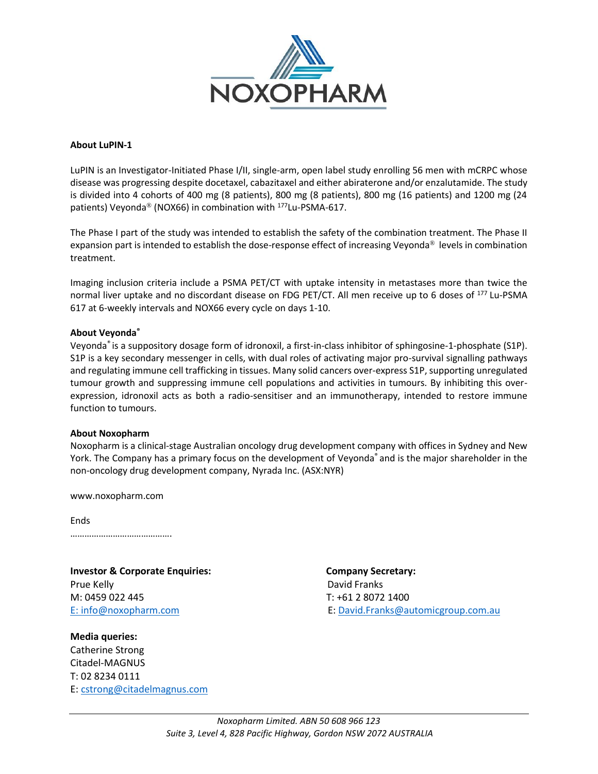

#### **About LuPIN-1**

LuPIN is an Investigator-Initiated Phase I/II, single-arm, open label study enrolling 56 men with mCRPC whose disease was progressing despite docetaxel, cabazitaxel and either abiraterone and/or enzalutamide. The study is divided into 4 cohorts of 400 mg (8 patients), 800 mg (8 patients), 800 mg (16 patients) and 1200 mg (24 patients) Veyonda<sup>®</sup> (NOX66) in combination with <sup>177</sup>Lu-PSMA-617.

The Phase I part of the study was intended to establish the safety of the combination treatment. The Phase II expansion part is intended to establish the dose-response effect of increasing Veyonda® levels in combination treatment.

Imaging inclusion criteria include a PSMA PET/CT with uptake intensity in metastases more than twice the normal liver uptake and no discordant disease on FDG PET/CT. All men receive up to 6 doses of <sup>177</sup> Lu-PSMA 617 at 6-weekly intervals and NOX66 every cycle on days 1-10.

#### **About Veyonda®**

Veyonda® is a suppository dosage form of idronoxil, a first-in-class inhibitor of sphingosine-1-phosphate (S1P). S1P is a key secondary messenger in cells, with dual roles of activating major pro-survival signalling pathways and regulating immune cell trafficking in tissues. Many solid cancers over-express S1P, supporting unregulated tumour growth and suppressing immune cell populations and activities in tumours. By inhibiting this overexpression, idronoxil acts as both a radio-sensitiser and an immunotherapy, intended to restore immune function to tumours.

#### **About Noxopharm**

Noxopharm is a clinical-stage Australian oncology drug development company with offices in Sydney and New York. The Company has a primary focus on the development of Veyonda® and is the major shareholder in the non-oncology drug development company, Nyrada Inc. (ASX:NYR)

www.noxopharm.com

Ends …………………………………….

**Investor & Corporate Enquiries: Company Secretary:**  Prue Kelly **David Franks** M: 0459 022 445 T: +61 2 8072 1400

**Media queries:** Catherine Strong Citadel-MAGNUS T: 02 8234 0111 E: [cstrong@citadelmagnus.com](mailto:cstrong@citadelmagnus.com)

E: [info@noxopharm.com](mailto:info@noxopharm.com) E: [David.Franks@automicgroup.com.au](mailto:David.Franks@automicgroup.com.au)